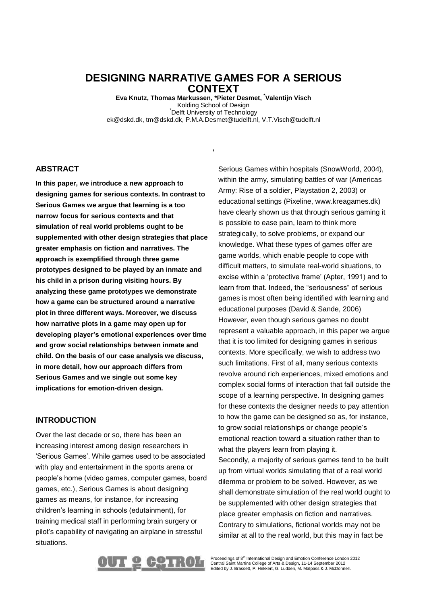# **DESIGNING NARRATIVE GAMES FOR A SERIOUS CONTEXT**

**Eva Knutz, Thomas Markussen, \*Pieter Desmet, \* Valentijn Visch** Kolding School of Design \*Delft University of Technology ek@dskd.dk, tm@dskd.dk, P.M.A.Desmet@tudelft.nl, V.T.Visch@tudelft.nl

**,**

#### **ABSTRACT**

**In this paper, we introduce a new approach to designing games for serious contexts. In contrast to Serious Games we argue that learning is a too narrow focus for serious contexts and that simulation of real world problems ought to be supplemented with other design strategies that place greater emphasis on fiction and narratives. The approach is exemplified through three game prototypes designed to be played by an inmate and his child in a prison during visiting hours. By analyzing these game prototypes we demonstrate how a game can be structured around a narrative plot in three different ways. Moreover, we discuss how narrative plots in a game may open up for developing player's emotional experiences over time and grow social relationships between inmate and child. On the basis of our case analysis we discuss, in more detail, how our approach differs from Serious Games and we single out some key implications for emotion-driven design.**

### **INTRODUCTION**

Over the last decade or so, there has been an increasing interest among design researchers in 'Serious Games'. While games used to be associated with play and entertainment in the sports arena or people's home (video games, computer games, board games, etc.), Serious Games is about designing games as means, for instance, for increasing children's learning in schools (edutainment), for training medical staff in performing brain surgery or pilot's capability of navigating an airplane in stressful situations.

Serious Games within hospitals (SnowWorld, 2004), within the army, simulating battles of war (Americas Army: Rise of a soldier, Playstation 2, 2003) or educational settings (Pixeline, www.kreagames.dk) have clearly shown us that through serious gaming it is possible to ease pain, learn to think more strategically, to solve problems, or expand our knowledge. What these types of games offer are game worlds, which enable people to cope with difficult matters, to simulate real-world situations, to excise within a 'protective frame' (Apter, 1991) and to learn from that. Indeed, the "seriousness" of serious games is most often being identified with learning and educational purposes (David & Sande, 2006) However, even though serious games no doubt represent a valuable approach, in this paper we argue that it is too limited for designing games in serious contexts. More specifically, we wish to address two such limitations. First of all, many serious contexts revolve around rich experiences, mixed emotions and complex social forms of interaction that fall outside the scope of a learning perspective. In designing games for these contexts the designer needs to pay attention to how the game can be designed so as, for instance, to grow social relationships or change people's emotional reaction toward a situation rather than to what the players learn from playing it. Secondly, a majority of serious games tend to be built

up from virtual worlds simulating that of a real world dilemma or problem to be solved. However, as we shall demonstrate simulation of the real world ought to be supplemented with other design strategies that place greater emphasis on fiction and narratives. Contrary to simulations, fictional worlds may not be similar at all to the real world, but this may in fact be



Proceedings of 8<sup>th</sup> International Design and Emotion Conference London 2012<br>Central Saint Martins College of Arts & Design, 11-14 September 2012<br>Edited by J. Brassett, P. Hekkert, G. Ludden, M. Malpass & J. McDonnell.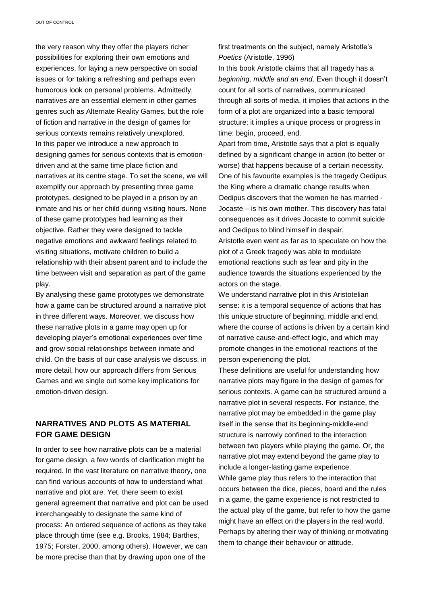the very reason why they offer the players richer possibilities for exploring their own emotions and experiences, for laying a new perspective on social issues or for taking a refreshing and perhaps even humorous look on personal problems. Admittedly, narratives are an essential element in other games genres such as Alternate Reality Games, but the role of fiction and narrative in the design of games for serious contexts remains relatively unexplored. In this paper we introduce a new approach to designing games for serious contexts that is emotiondriven and at the same time place fiction and narratives at its centre stage. To set the scene, we will exemplify our approach by presenting three game prototypes, designed to be played in a prison by an inmate and his or her child during visiting hours. None of these game prototypes had learning as their objective. Rather they were designed to tackle negative emotions and awkward feelings related to visiting situations, motivate children to build a relationship with their absent parent and to include the time between visit and separation as part of the game play.

By analysing these game prototypes we demonstrate how a game can be structured around a narrative plot in three different ways. Moreover, we discuss how these narrative plots in a game may open up for developing player's emotional experiences over time and grow social relationships between inmate and child. On the basis of our case analysis we discuss, in more detail, how our approach differs from Serious Games and we single out some key implications for emotion-driven design.

# **NARRATIVES AND PLOTS AS MATERIAL FOR GAME DESIGN**

In order to see how narrative plots can be a material for game design, a few words of clarification might be required. In the vast literature on narrative theory, one can find various accounts of how to understand what narrative and plot are. Yet, there seem to exist general agreement that narrative and plot can be used interchangeably to designate the same kind of process: An ordered sequence of actions as they take place through time (see e.g. Brooks, 1984; Barthes, 1975; Forster, 2000, among others). However, we can be more precise than that by drawing upon one of the

first treatments on the subject, namely Aristotle's *Poetics* (Aristotle, 1996)

In this book Aristotle claims that all tragedy has a *beginning, middle and an end*. Even though it doesn't count for all sorts of narratives, communicated through all sorts of media, it implies that actions in the form of a plot are organized into a basic temporal structure; it implies a unique process or progress in time: begin, proceed, end.

Apart from time, Aristotle says that a plot is equally defined by a significant change in action (to better or worse) that happens because of a certain necessity. One of his favourite examples is the tragedy Oedipus the King where a dramatic change results when Oedipus discovers that the women he has married - Jocaste – is his own mother. This discovery has fatal consequences as it drives Jocaste to commit suicide and Oedipus to blind himself in despair.

Aristotle even went as far as to speculate on how the plot of a Greek tragedy was able to modulate emotional reactions such as fear and pity in the audience towards the situations experienced by the actors on the stage.

We understand narrative plot in this Aristotelian sense: it is a temporal sequence of actions that has this unique structure of beginning, middle and end, where the course of actions is driven by a certain kind of narrative cause-and-effect logic, and which may promote changes in the emotional reactions of the person experiencing the plot.

These definitions are useful for understanding how narrative plots may figure in the design of games for serious contexts. A game can be structured around a narrative plot in several respects. For instance, the narrative plot may be embedded in the game play itself in the sense that its beginning-middle-end structure is narrowly confined to the interaction between two players while playing the game. Or, the narrative plot may extend beyond the game play to include a longer-lasting game experience. While game play thus refers to the interaction that occurs between the dice, pieces, board and the rules in a game, the game experience is not restricted to the actual play of the game, but refer to how the game might have an effect on the players in the real world. Perhaps by altering their way of thinking or motivating them to change their behaviour or attitude.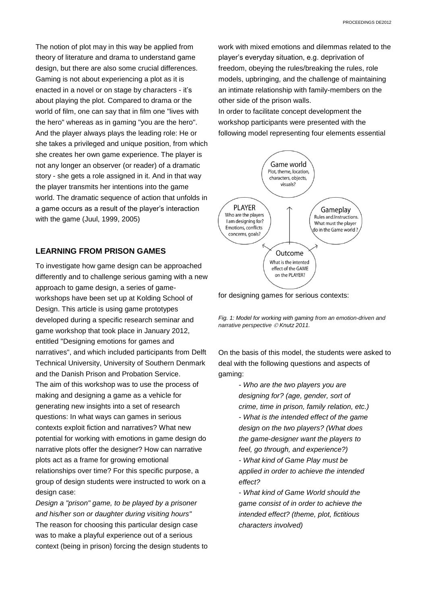The notion of plot may in this way be applied from theory of literature and drama to understand game design, but there are also some crucial differences. Gaming is not about experiencing a plot as it is enacted in a novel or on stage by characters - it's about playing the plot. Compared to drama or the world of film, one can say that in film one "lives with the hero" whereas as in gaming "you are the hero". And the player always plays the leading role: He or she takes a privileged and unique position, from which she creates her own game experience. The player is not any longer an observer (or reader) of a dramatic story - she gets a role assigned in it. And in that way the player transmits her intentions into the game world. The dramatic sequence of action that unfolds in a game occurs as a result of the player's interaction with the game (Juul, 1999, 2005)

# **LEARNING FROM PRISON GAMES**

To investigate how game design can be approached differently and to challenge serious gaming with a new approach to game design, a series of gameworkshops have been set up at Kolding School of Design. This article is using game prototypes developed during a specific research seminar and game workshop that took place in January 2012, entitled "Designing emotions for games and narratives", and which included participants from Delft Technical University, University of Southern Denmark and the Danish Prison and Probation Service. The aim of this workshop was to use the process of making and designing a game as a vehicle for generating new insights into a set of research questions: In what ways can games in serious contexts exploit fiction and narratives? What new potential for working with emotions in game design do narrative plots offer the designer? How can narrative plots act as a frame for growing emotional relationships over time? For this specific purpose, a group of design students were instructed to work on a design case:

*Design a "prison" game, to be played by a prisoner and his/her son or daughter during visiting hours"* The reason for choosing this particular design case was to make a playful experience out of a serious context (being in prison) forcing the design students to work with mixed emotions and dilemmas related to the player's everyday situation, e.g. deprivation of freedom, obeying the rules/breaking the rules, role models, upbringing, and the challenge of maintaining an intimate relationship with family-members on the other side of the prison walls.

In order to facilitate concept development the workshop participants were presented with the following model representing four elements essential



for designing games for serious contexts:

*Fig. 1: Model for working with gaming from an emotion-driven and narrative perspective Knutz 2011.*

On the basis of this model, the students were asked to deal with the following questions and aspects of gaming:

> *- Who are the two players you are designing for? (age, gender, sort of crime, time in prison, family relation, etc.) - What is the intended effect of the game design on the two players? (What does the game-designer want the players to feel, go through, and experience?) - What kind of Game Play must be*

*applied in order to achieve the intended effect?*

*- What kind of Game World should the game consist of in order to achieve the intended effect? (theme, plot, fictitious characters involved)*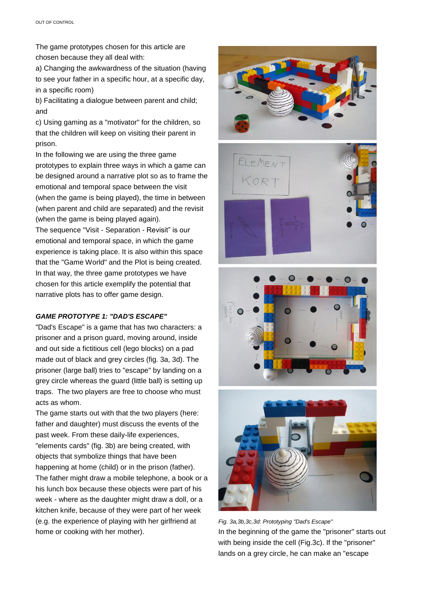The game prototypes chosen for this article are chosen because they all deal with:

a) Changing the awkwardness of the situation (having to see your father in a specific hour, at a specific day, in a specific room)

b) Facilitating a dialogue between parent and child; and

c) Using gaming as a "motivator" for the children, so that the children will keep on visiting their parent in prison.

In the following we are using the three game prototypes to explain three ways in which a game can be designed around a narrative plot so as to frame the emotional and temporal space between the visit (when the game is being played), the time in between (when parent and child are separated) and the revisit (when the game is being played again).

The sequence "Visit - Separation - Revisit" is our emotional and temporal space, in which the game experience is taking place. It is also within this space that the "Game World" and the Plot is being created. In that way, the three game prototypes we have chosen for this article exemplify the potential that narrative plots has to offer game design.

### *GAME PROTOTYPE 1: "DAD'S ESCAPE"*

"Dad's Escape" is a game that has two characters: a prisoner and a prison guard, moving around, inside and out side a fictitious cell (lego blocks) on a pad made out of black and grey circles (fig. 3a, 3d). The prisoner (large ball) tries to "escape" by landing on a grey circle whereas the guard (little ball) is setting up traps. The two players are free to choose who must acts as whom.

The game starts out with that the two players (here: father and daughter) must discuss the events of the past week. From these daily-life experiences, "elements cards" (fig. 3b) are being created, with objects that symbolize things that have been happening at home (child) or in the prison (father). The father might draw a mobile telephone, a book or a his lunch box because these objects were part of his week - where as the daughter might draw a doll, or a kitchen knife, because of they were part of her week (e.g. the experience of playing with her girlfriend at home or cooking with her mother).









*Fig. 3a,3b,3c,3d: Prototyping "Dad's Escape"* In the beginning of the game the "prisoner" starts out with being inside the cell (Fig.3c). If the "prisoner" lands on a grey circle, he can make an "escape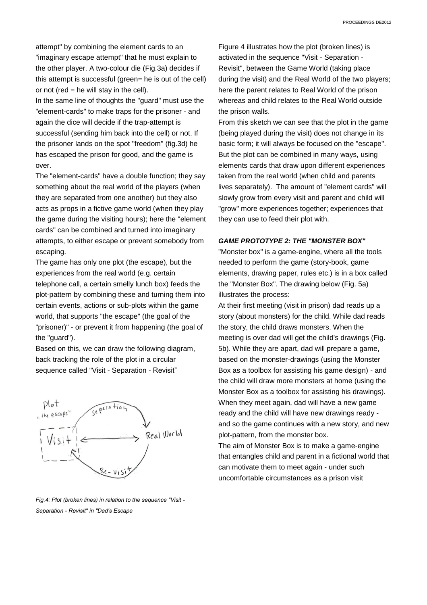attempt" by combining the element cards to an "imaginary escape attempt" that he must explain to the other player. A two-colour die (Fig.3a) decides if this attempt is successful (green= he is out of the cell) or not (red  $=$  he will stay in the cell).

In the same line of thoughts the "guard" must use the "element-cards" to make traps for the prisoner - and again the dice will decide if the trap-attempt is successful (sending him back into the cell) or not. If the prisoner lands on the spot "freedom" (fig.3d) he has escaped the prison for good, and the game is over.

The "element-cards" have a double function; they say something about the real world of the players (when they are separated from one another) but they also acts as props in a fictive game world (when they play the game during the visiting hours); here the "element cards" can be combined and turned into imaginary attempts, to either escape or prevent somebody from escaping.

The game has only one plot (the escape), but the experiences from the real world (e.g. certain telephone call, a certain smelly lunch box) feeds the plot-pattern by combining these and turning them into certain events, actions or sub-plots within the game world, that supports "the escape" (the goal of the "prisoner)" - or prevent it from happening (the goal of the "guard").

Based on this, we can draw the following diagram, back tracking the role of the plot in a circular sequence called "Visit - Separation - Revisit"



*Fig.4: Plot (broken lines) in relation to the sequence "Visit - Separation - Revisit" in "Dad's Escape*

Figure 4 illustrates how the plot (broken lines) is activated in the sequence "Visit - Separation - Revisit", between the Game World (taking place during the visit) and the Real World of the two players; here the parent relates to Real World of the prison whereas and child relates to the Real World outside the prison walls.

From this sketch we can see that the plot in the game (being played during the visit) does not change in its basic form; it will always be focused on the "escape". But the plot can be combined in many ways, using elements cards that draw upon different experiences taken from the real world (when child and parents lives separately). The amount of "element cards" will slowly grow from every visit and parent and child will "grow" more experiences together; experiences that they can use to feed their plot with.

#### *GAME PROTOTYPE 2: THE "MONSTER BOX"*

"Monster box" is a game-engine, where all the tools needed to perform the game (story-book, game elements, drawing paper, rules etc.) is in a box called the "Monster Box". The drawing below (Fig. 5a) illustrates the process:

At their first meeting (visit in prison) dad reads up a story (about monsters) for the child. While dad reads the story, the child draws monsters. When the meeting is over dad will get the child's drawings (Fig. 5b). While they are apart, dad will prepare a game, based on the monster-drawings (using the Monster Box as a toolbox for assisting his game design) - and the child will draw more monsters at home (using the Monster Box as a toolbox for assisting his drawings). When they meet again, dad will have a new game ready and the child will have new drawings ready and so the game continues with a new story, and new plot-pattern, from the monster box.

The aim of Monster Box is to make a game-engine that entangles child and parent in a fictional world that can motivate them to meet again - under such uncomfortable circumstances as a prison visit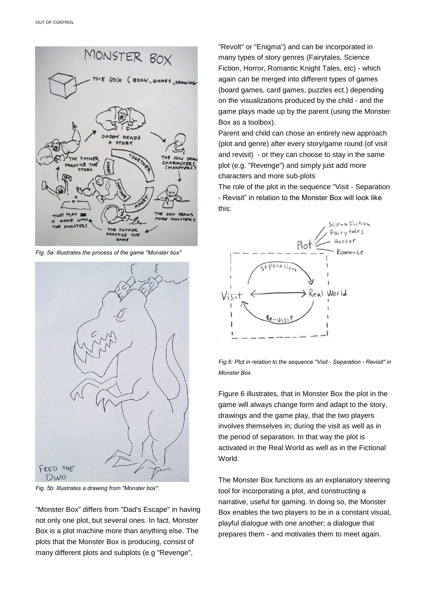

*Fig. 5a: Illustrates the process of the game "Monster box"*



*Fig. 5b: Illustrates a drawing from "Monster box".*

"Monster Box" differs from "Dad's Escape" in having not only one plot, but several ones. In fact, Monster Box is a plot machine more than anything else. The plots that the Monster Box is producing, consist of many different plots and subplots (e.g "Revenge",

"Revolt" or "Enigma") and can be incorporated in many types of story genres (Fairytales, Science Fiction, Horror, Romantic Knight Tales, etc) - which again can be merged into different types of games (board games, card games, puzzles ect.) depending on the visualizations produced by the child - and the game plays made up by the parent (using the Monster Box as a toolbox).

Parent and child can chose an entirely new approach (plot and genre) after every story/game round (of visit and revisit) - or they can choose to stay in the same plot (e.g. "Revenge") and simply just add more characters and more sub-plots

The role of the plot in the sequence "Visit - Separation - Revisit" in relation to the Monster Box will look like this:



*Fig.6: Plot in relation to the sequence "Visit - Separation - Revisit" in Monster Box*

Figure 6 illustrates, that in Monster Box the plot in the game will always change form and adapt to the story, drawings and the game play, that the two players involves themselves in; during the visit as well as in the period of separation. In that way the plot is activated in the Real World as well as in the Fictional World.

The Monster Box functions as an explanatory steering tool for incorporating a plot, and constructing a narrative, useful for gaming. In doing so, the Monster Box enables the two players to be in a constant visual, playful dialogue with one another; a dialogue that prepares them - and motivates them to meet again.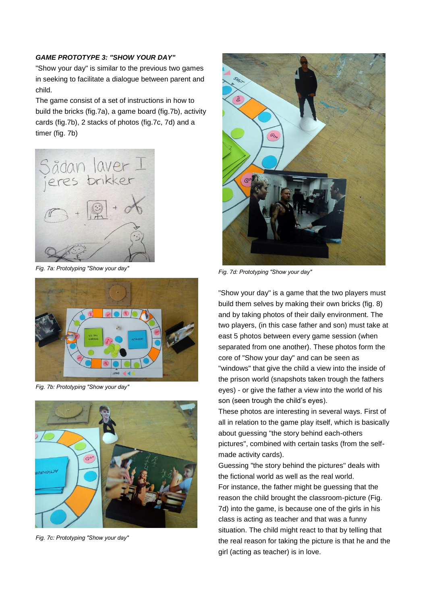### *GAME PROTOTYPE 3: "SHOW YOUR DAY"*

"Show your day" is similar to the previous two games in seeking to facilitate a dialogue between parent and child.

The game consist of a set of instructions in how to build the bricks (fig.7a), a game board (fig.7b), activity cards (fig.7b), 2 stacks of photos (fig.7c, 7d) and a timer (fig. 7b)



*Fig. 7a: Prototyping "Show your day"*



*Fig. 7b: Prototyping "Show your day"*



*Fig. 7c: Prototyping "Show your day"*



*Fig. 7d: Prototyping "Show your day"*

"Show your day" is a game that the two players must build them selves by making their own bricks (fig. 8) and by taking photos of their daily environment. The two players, (in this case father and son) must take at east 5 photos between every game session (when separated from one another). These photos form the core of "Show your day" and can be seen as "windows" that give the child a view into the inside of the prison world (snapshots taken trough the fathers eyes) - or give the father a view into the world of his son (seen trough the child's eyes).

These photos are interesting in several ways. First of all in relation to the game play itself, which is basically about guessing "the story behind each-others pictures", combined with certain tasks (from the selfmade activity cards).

Guessing "the story behind the pictures" deals with the fictional world as well as the real world. For instance, the father might be guessing that the reason the child brought the classroom-picture (Fig. 7d) into the game, is because one of the girls in his class is acting as teacher and that was a funny situation. The child might react to that by telling that the real reason for taking the picture is that he and the girl (acting as teacher) is in love.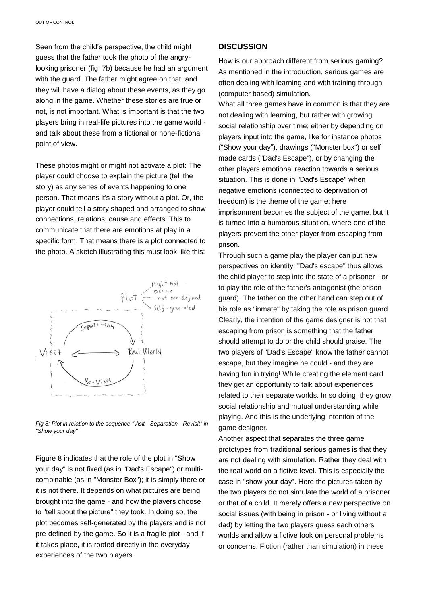Seen from the child's perspective, the child might guess that the father took the photo of the angrylooking prisoner (fig. 7b) because he had an argument with the guard. The father might agree on that, and they will have a dialog about these events, as they go along in the game. Whether these stories are true or not, is not important. What is important is that the two players bring in real-life pictures into the game world and talk about these from a fictional or none-fictional point of view.

These photos might or might not activate a plot: The player could choose to explain the picture (tell the story) as any series of events happening to one person. That means it's a story without a plot. Or, the player could tell a story shaped and arranged to show connections, relations, cause and effects. This to communicate that there are emotions at play in a specific form. That means there is a plot connected to the photo. A sketch illustrating this must look like this:



*Fig.8: Plot in relation to the sequence "Visit - Separation - Revisit" in "Show your day"*

Figure 8 indicates that the role of the plot in "Show your day" is not fixed (as in "Dad's Escape") or multicombinable (as in "Monster Box"); it is simply there or it is not there. It depends on what pictures are being brought into the game - and how the players choose to "tell about the picture" they took. In doing so, the plot becomes self-generated by the players and is not pre-defined by the game. So it is a fragile plot - and if it takes place, it is rooted directly in the everyday experiences of the two players.

#### **DISCUSSION**

How is our approach different from serious gaming? As mentioned in the introduction, serious games are often dealing with learning and with training through (computer based) simulation.

What all three games have in common is that they are not dealing with learning, but rather with growing social relationship over time; either by depending on players input into the game, like for instance photos ("Show your day"), drawings ("Monster box") or self made cards ("Dad's Escape"), or by changing the other players emotional reaction towards a serious situation. This is done in "Dad's Escape" when negative emotions (connected to deprivation of freedom) is the theme of the game; here imprisonment becomes the subject of the game, but it is turned into a humorous situation, where one of the players prevent the other player from escaping from prison.

Through such a game play the player can put new perspectives on identity: "Dad's escape" thus allows the child player to step into the state of a prisoner - or to play the role of the father's antagonist (the prison guard). The father on the other hand can step out of his role as "inmate" by taking the role as prison guard. Clearly, the intention of the game designer is not that escaping from prison is something that the father should attempt to do or the child should praise. The two players of "Dad's Escape" know the father cannot escape, but they imagine he could - and they are having fun in trying! While creating the element card they get an opportunity to talk about experiences related to their separate worlds. In so doing, they grow social relationship and mutual understanding while playing. And this is the underlying intention of the game designer.

Another aspect that separates the three game prototypes from traditional serious games is that they are not dealing with simulation. Rather they deal with the real world on a fictive level. This is especially the case in "show your day". Here the pictures taken by the two players do not simulate the world of a prisoner or that of a child. It merely offers a new perspective on social issues (with being in prison - or living without a dad) by letting the two players guess each others worlds and allow a fictive look on personal problems or concerns. Fiction (rather than simulation) in these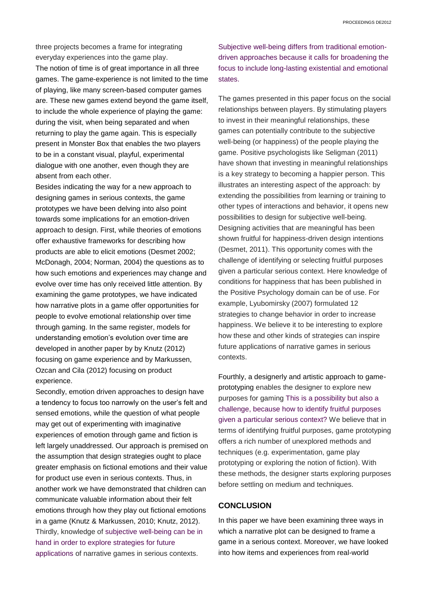three projects becomes a frame for integrating everyday experiences into the game play. The notion of time is of great importance in all three games. The game-experience is not limited to the time of playing, like many screen-based computer games are. These new games extend beyond the game itself, to include the whole experience of playing the game: during the visit, when being separated and when returning to play the game again. This is especially present in Monster Box that enables the two players to be in a constant visual, playful, experimental dialogue with one another, even though they are absent from each other.

Besides indicating the way for a new approach to designing games in serious contexts, the game prototypes we have been delving into also point towards some implications for an emotion-driven approach to design. First, while theories of emotions offer exhaustive frameworks for describing how products are able to elicit emotions (Desmet 2002; McDonagh, 2004; Norman, 2004) the questions as to how such emotions and experiences may change and evolve over time has only received little attention. By examining the game prototypes, we have indicated how narrative plots in a game offer opportunities for people to evolve emotional relationship over time through gaming. In the same register, models for understanding emotion's evolution over time are developed in another paper by by Knutz (2012) focusing on game experience and by Markussen, Ozcan and Cila (2012) focusing on product experience.

Secondly, emotion driven approaches to design have a tendency to focus too narrowly on the user's felt and sensed emotions, while the question of what people may get out of experimenting with imaginative experiences of emotion through game and fiction is left largely unaddressed. Our approach is premised on the assumption that design strategies ought to place greater emphasis on fictional emotions and their value for product use even in serious contexts. Thus, in another work we have demonstrated that children can communicate valuable information about their felt emotions through how they play out fictional emotions in a game (Knutz & Markussen, 2010; Knutz, 2012). Thirdly, knowledge of subjective well-being can be in hand in order to explore strategies for future applications of narrative games in serious contexts.

Subjective well-being differs from traditional emotiondriven approaches because it calls for broadening the focus to include long-lasting existential and emotional states.

The games presented in this paper focus on the social relationships between players. By stimulating players to invest in their meaningful relationships, these games can potentially contribute to the subjective well-being (or happiness) of the people playing the game. Positive psychologists like Seligman (2011) have shown that investing in meaningful relationships is a key strategy to becoming a happier person. This illustrates an interesting aspect of the approach: by extending the possibilities from learning or training to other types of interactions and behavior, it opens new possibilities to design for subjective well-being. Designing activities that are meaningful has been shown fruitful for happiness-driven design intentions (Desmet, 2011). This opportunity comes with the challenge of identifying or selecting fruitful purposes given a particular serious context. Here knowledge of conditions for happiness that has been published in the Positive Psychology domain can be of use. For example, Lyubomirsky (2007) formulated 12 strategies to change behavior in order to increase happiness. We believe it to be interesting to explore how these and other kinds of strategies can inspire future applications of narrative games in serious contexts.

Fourthly, a designerly and artistic approach to gameprototyping enables the designer to explore new purposes for gaming This is a possibility but also a challenge, because how to identify fruitful purposes given a particular serious context? We believe that in terms of identifying fruitful purposes, game prototyping offers a rich number of unexplored methods and techniques (e.g. experimentation, game play prototyping or exploring the notion of fiction). With these methods, the designer starts exploring purposes before settling on medium and techniques.

# **CONCLUSION**

In this paper we have been examining three ways in which a narrative plot can be designed to frame a game in a serious context. Moreover, we have looked into how items and experiences from real-world